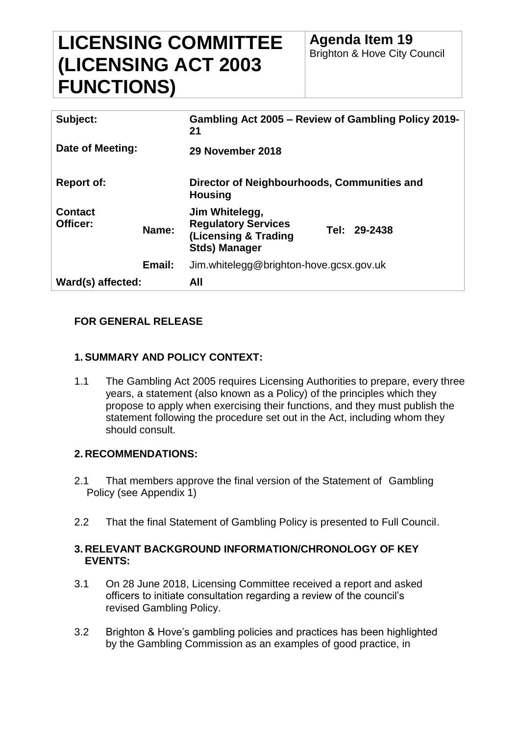# **LICENSING COMMITTEE (LICENSING ACT 2003 FUNCTIONS)**

| Subject:                   |        | Gambling Act 2005 – Review of Gambling Policy 2019-<br>21                                    |              |
|----------------------------|--------|----------------------------------------------------------------------------------------------|--------------|
| Date of Meeting:           |        | 29 November 2018                                                                             |              |
| <b>Report of:</b>          |        | Director of Neighbourhoods, Communities and<br><b>Housing</b>                                |              |
| <b>Contact</b><br>Officer: | Name:  | Jim Whitelegg,<br><b>Regulatory Services</b><br>(Licensing & Trading<br><b>Stds) Manager</b> | Tel: 29-2438 |
|                            | Email: | Jim.whitelegg@brighton-hove.gcsx.gov.uk                                                      |              |
| Ward(s) affected:          |        | All                                                                                          |              |

# **FOR GENERAL RELEASE**

# **1.SUMMARY AND POLICY CONTEXT:**

1.1 The Gambling Act 2005 requires Licensing Authorities to prepare, every three years, a statement (also known as a Policy) of the principles which they propose to apply when exercising their functions, and they must publish the statement following the procedure set out in the Act, including whom they should consult.

#### **2. RECOMMENDATIONS:**

- 2.1 That members approve the final version of the Statement of Gambling Policy (see Appendix 1)
- 2.2 That the final Statement of Gambling Policy is presented to Full Council.

## **3. RELEVANT BACKGROUND INFORMATION/CHRONOLOGY OF KEY EVENTS:**

- 3.1 On 28 June 2018, Licensing Committee received a report and asked officers to initiate consultation regarding a review of the council's revised Gambling Policy.
- 3.2 Brighton & Hove's gambling policies and practices has been highlighted by the Gambling Commission as an examples of good practice, in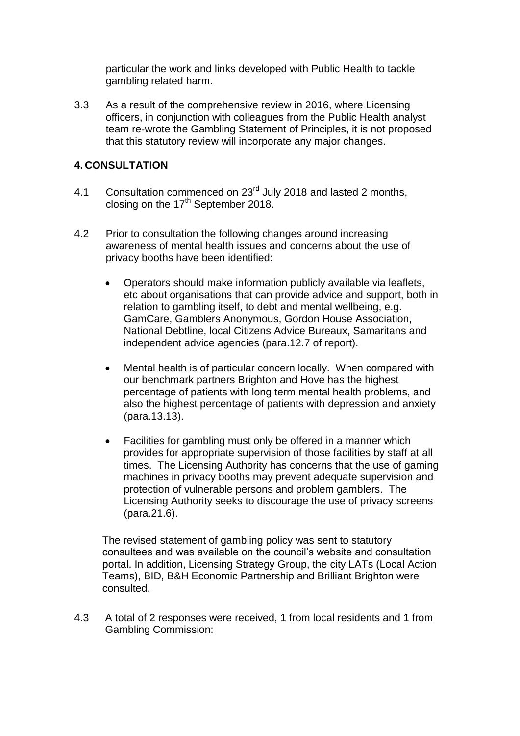particular the work and links developed with Public Health to tackle gambling related harm.

3.3 As a result of the comprehensive review in 2016, where Licensing officers, in conjunction with colleagues from the Public Health analyst team re-wrote the Gambling Statement of Principles, it is not proposed that this statutory review will incorporate any major changes.

## **4. CONSULTATION**

- 4.1 Consultation commenced on 23<sup>rd</sup> July 2018 and lasted 2 months. closing on the  $17<sup>th</sup>$  September 2018.
- 4.2 Prior to consultation the following changes around increasing awareness of mental health issues and concerns about the use of privacy booths have been identified:
	- Operators should make information publicly available via leaflets, etc about organisations that can provide advice and support, both in relation to gambling itself, to debt and mental wellbeing, e.g. GamCare, Gamblers Anonymous, Gordon House Association, National Debtline, local Citizens Advice Bureaux, Samaritans and independent advice agencies (para.12.7 of report).
	- Mental health is of particular concern locally. When compared with our benchmark partners Brighton and Hove has the highest percentage of patients with long term mental health problems, and also the highest percentage of patients with depression and anxiety (para.13.13).
	- Facilities for gambling must only be offered in a manner which provides for appropriate supervision of those facilities by staff at all times. The Licensing Authority has concerns that the use of gaming machines in privacy booths may prevent adequate supervision and protection of vulnerable persons and problem gamblers. The Licensing Authority seeks to discourage the use of privacy screens (para.21.6).

The revised statement of gambling policy was sent to statutory consultees and was available on the council's website and consultation portal. In addition, Licensing Strategy Group, the city LATs (Local Action Teams), BID, B&H Economic Partnership and Brilliant Brighton were consulted.

4.3 A total of 2 responses were received, 1 from local residents and 1 from Gambling Commission: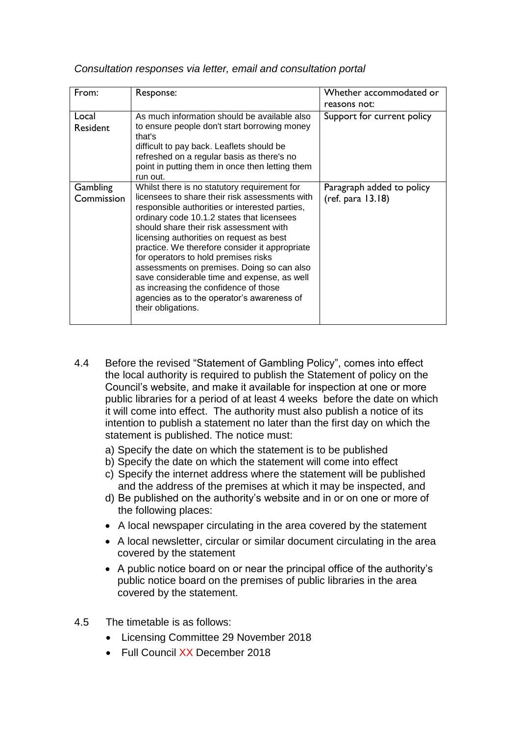| From:                    | Response:                                                                                                                                                                                                                                                                                                                                                                                                                                                                                                                                                                                 | Whether accommodated or                        |
|--------------------------|-------------------------------------------------------------------------------------------------------------------------------------------------------------------------------------------------------------------------------------------------------------------------------------------------------------------------------------------------------------------------------------------------------------------------------------------------------------------------------------------------------------------------------------------------------------------------------------------|------------------------------------------------|
|                          |                                                                                                                                                                                                                                                                                                                                                                                                                                                                                                                                                                                           | reasons not:                                   |
| Local<br><b>Resident</b> | As much information should be available also<br>to ensure people don't start borrowing money<br>that's<br>difficult to pay back. Leaflets should be<br>refreshed on a regular basis as there's no<br>point in putting them in once then letting them                                                                                                                                                                                                                                                                                                                                      | Support for current policy                     |
|                          | run out.                                                                                                                                                                                                                                                                                                                                                                                                                                                                                                                                                                                  |                                                |
| Gambling<br>Commission   | Whilst there is no statutory requirement for<br>licensees to share their risk assessments with<br>responsible authorities or interested parties,<br>ordinary code 10.1.2 states that licensees<br>should share their risk assessment with<br>licensing authorities on request as best<br>practice. We therefore consider it appropriate<br>for operators to hold premises risks<br>assessments on premises. Doing so can also<br>save considerable time and expense, as well<br>as increasing the confidence of those<br>agencies as to the operator's awareness of<br>their obligations. | Paragraph added to policy<br>(ref. para 13.18) |

*Consultation responses via letter, email and consultation portal*

- 4.4 Before the revised "Statement of Gambling Policy", comes into effect the local authority is required to publish the Statement of policy on the Council's website, and make it available for inspection at one or more public libraries for a period of at least 4 weeks before the date on which it will come into effect. The authority must also publish a notice of its intention to publish a statement no later than the first day on which the statement is published. The notice must:
	- a) Specify the date on which the statement is to be published
	- b) Specify the date on which the statement will come into effect
	- c) Specify the internet address where the statement will be published and the address of the premises at which it may be inspected, and
	- d) Be published on the authority's website and in or on one or more of the following places:
	- A local newspaper circulating in the area covered by the statement
	- A local newsletter, circular or similar document circulating in the area covered by the statement
	- A public notice board on or near the principal office of the authority's public notice board on the premises of public libraries in the area covered by the statement.
- 4.5 The timetable is as follows:
	- Licensing Committee 29 November 2018
	- Full Council XX December 2018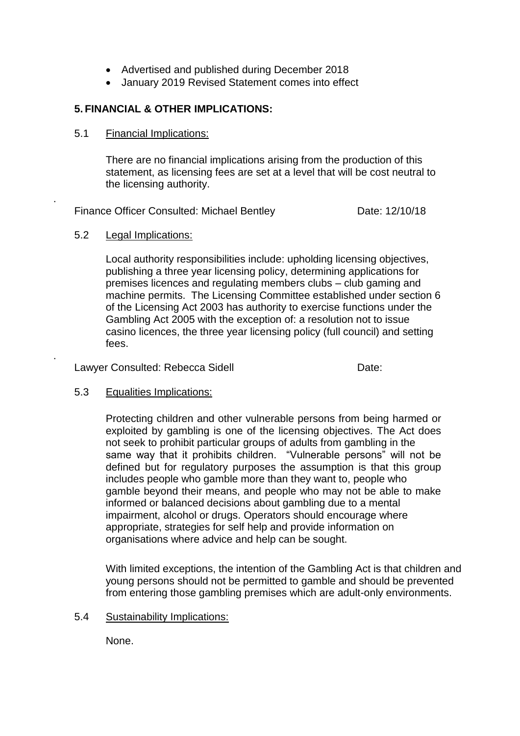- Advertised and published during December 2018
- January 2019 Revised Statement comes into effect

# **5. FINANCIAL & OTHER IMPLICATIONS:**

#### 5.1 Financial Implications:

There are no financial implications arising from the production of this statement, as licensing fees are set at a level that will be cost neutral to the licensing authority.

Finance Officer Consulted: Michael Bentley Consulted: 0 Date: 12/10/18

## 5.2 Legal Implications:

.

.

Local authority responsibilities include: upholding licensing objectives, publishing a three year licensing policy, determining applications for premises licences and regulating members clubs – club gaming and machine permits. The Licensing Committee established under section 6 of the Licensing Act 2003 has authority to exercise functions under the Gambling Act 2005 with the exception of: a resolution not to issue casino licences, the three year licensing policy (full council) and setting fees.

Lawyer Consulted: Rebecca Sidell **Example 20** Date:

#### 5.3 Equalities Implications:

Protecting children and other vulnerable persons from being harmed or exploited by gambling is one of the licensing objectives. The Act does not seek to prohibit particular groups of adults from gambling in the same way that it prohibits children. "Vulnerable persons" will not be defined but for regulatory purposes the assumption is that this group includes people who gamble more than they want to, people who gamble beyond their means, and people who may not be able to make informed or balanced decisions about gambling due to a mental impairment, alcohol or drugs. Operators should encourage where appropriate, strategies for self help and provide information on organisations where advice and help can be sought.

With limited exceptions, the intention of the Gambling Act is that children and young persons should not be permitted to gamble and should be prevented from entering those gambling premises which are adult-only environments.

#### 5.4 Sustainability Implications:

None.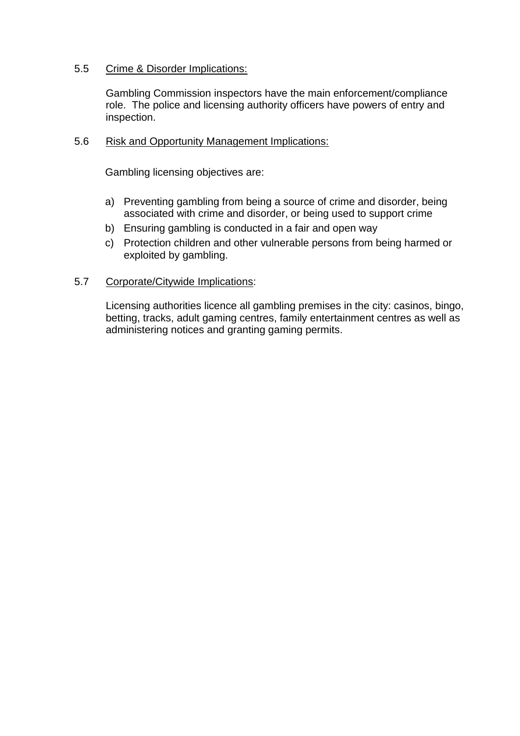## 5.5 Crime & Disorder Implications:

Gambling Commission inspectors have the main enforcement/compliance role. The police and licensing authority officers have powers of entry and inspection.

## 5.6 Risk and Opportunity Management Implications:

Gambling licensing objectives are:

- a) Preventing gambling from being a source of crime and disorder, being associated with crime and disorder, or being used to support crime
- b) Ensuring gambling is conducted in a fair and open way
- c) Protection children and other vulnerable persons from being harmed or exploited by gambling.

#### 5.7 Corporate/Citywide Implications:

Licensing authorities licence all gambling premises in the city: casinos, bingo, betting, tracks, adult gaming centres, family entertainment centres as well as administering notices and granting gaming permits.